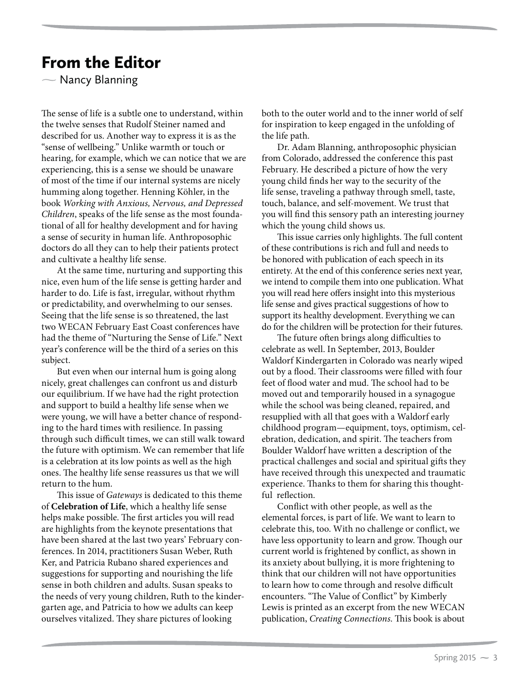## From the Editor

 $\sim$  Nancy Blanning  $\sum_{i=1}^{n}$ 

The sense of life is a subtle one to understand, within the twelve senses that Rudolf Steiner named and described for us. Another way to express it is as the "sense of wellbeing." Unlike warmth or touch or hearing, for example, which we can notice that we are experiencing, this is a sense we should be unaware of most of the time if our internal systems are nicely humming along together. Henning Köhler, in the book *Working with Anxious, Nervous, and Depressed Children*, speaks of the life sense as the most foundational of all for healthy development and for having a sense of security in human life. Anthroposophic doctors do all they can to help their patients protect and cultivate a healthy life sense.

At the same time, nurturing and supporting this nice, even hum of the life sense is getting harder and harder to do. Life is fast, irregular, without rhythm or predictability, and overwhelming to our senses. Seeing that the life sense is so threatened, the last two WECAN February East Coast conferences have had the theme of "Nurturing the Sense of Life." Next year's conference will be the third of a series on this subject.

But even when our internal hum is going along nicely, great challenges can confront us and disturb our equilibrium. If we have had the right protection and support to build a healthy life sense when we were young, we will have a better chance of responding to the hard times with resilience. In passing through such difficult times, we can still walk toward the future with optimism. We can remember that life is a celebration at its low points as well as the high ones. The healthy life sense reassures us that we will return to the hum.

This issue of *Gateways* is dedicated to this theme of **Celebration of Life**, which a healthy life sense helps make possible. The first articles you will read are highlights from the keynote presentations that have been shared at the last two years' February conferences. In 2014, practitioners Susan Weber, Ruth Ker, and Patricia Rubano shared experiences and suggestions for supporting and nourishing the life sense in both children and adults. Susan speaks to the needs of very young children, Ruth to the kindergarten age, and Patricia to how we adults can keep ourselves vitalized. They share pictures of looking

both to the outer world and to the inner world of self for inspiration to keep engaged in the unfolding of the life path.

Dr. Adam Blanning, anthroposophic physician from Colorado, addressed the conference this past February. He described a picture of how the very young child finds her way to the security of the life sense, traveling a pathway through smell, taste, touch, balance, and self-movement. We trust that you will find this sensory path an interesting journey which the young child shows us.

This issue carries only highlights. The full content of these contributions is rich and full and needs to be honored with publication of each speech in its entirety. At the end of this conference series next year, we intend to compile them into one publication. What you will read here offers insight into this mysterious life sense and gives practical suggestions of how to support its healthy development. Everything we can do for the children will be protection for their futures.

The future often brings along difficulties to celebrate as well. In September, 2013, Boulder Waldorf Kindergarten in Colorado was nearly wiped out by a flood. Their classrooms were filled with four feet of flood water and mud. The school had to be moved out and temporarily housed in a synagogue while the school was being cleaned, repaired, and resupplied with all that goes with a Waldorf early childhood program—equipment, toys, optimism, celebration, dedication, and spirit. The teachers from Boulder Waldorf have written a description of the practical challenges and social and spiritual gifts they have received through this unexpected and traumatic experience. Thanks to them for sharing this thoughtful reflection.

Conflict with other people, as well as the elemental forces, is part of life. We want to learn to celebrate this, too. With no challenge or conflict, we have less opportunity to learn and grow. Though our current world is frightened by conflict, as shown in its anxiety about bullying, it is more frightening to think that our children will not have opportunities to learn how to come through and resolve difficult encounters. "The Value of Conflict" by Kimberly Lewis is printed as an excerpt from the new WECAN publication, *Creating Connections*. This book is about